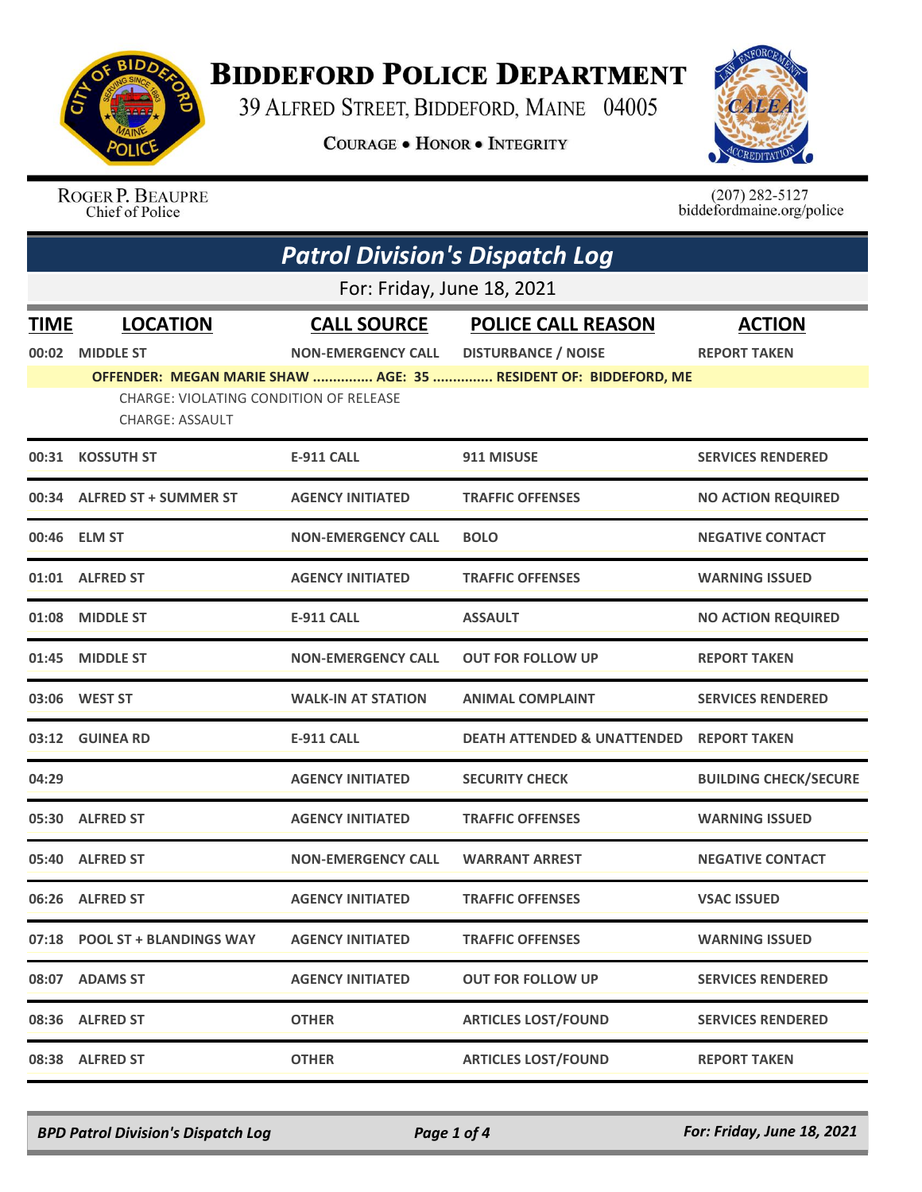

## **BIDDEFORD POLICE DEPARTMENT**

39 ALFRED STREET, BIDDEFORD, MAINE 04005

**COURAGE . HONOR . INTEGRITY** 



ROGER P. BEAUPRE Chief of Police

 $(207)$  282-5127<br>biddefordmaine.org/police

|             | <b>Patrol Division's Dispatch Log</b>                            |                           |                                                                 |                              |  |
|-------------|------------------------------------------------------------------|---------------------------|-----------------------------------------------------------------|------------------------------|--|
|             | For: Friday, June 18, 2021                                       |                           |                                                                 |                              |  |
| <b>TIME</b> | <b>LOCATION</b>                                                  | <b>CALL SOURCE</b>        | <b>POLICE CALL REASON</b>                                       | <b>ACTION</b>                |  |
| 00:02       | <b>MIDDLE ST</b>                                                 | <b>NON-EMERGENCY CALL</b> | <b>DISTURBANCE / NOISE</b>                                      | <b>REPORT TAKEN</b>          |  |
|             | CHARGE: VIOLATING CONDITION OF RELEASE<br><b>CHARGE: ASSAULT</b> |                           | OFFENDER: MEGAN MARIE SHAW  AGE: 35  RESIDENT OF: BIDDEFORD, ME |                              |  |
|             | 00:31 KOSSUTH ST                                                 | <b>E-911 CALL</b>         | 911 MISUSE                                                      | <b>SERVICES RENDERED</b>     |  |
|             | 00:34 ALFRED ST + SUMMER ST                                      | <b>AGENCY INITIATED</b>   | <b>TRAFFIC OFFENSES</b>                                         | <b>NO ACTION REQUIRED</b>    |  |
|             | 00:46 ELM ST                                                     | <b>NON-EMERGENCY CALL</b> | <b>BOLO</b>                                                     | <b>NEGATIVE CONTACT</b>      |  |
| 01:01       | <b>ALFRED ST</b>                                                 | <b>AGENCY INITIATED</b>   | <b>TRAFFIC OFFENSES</b>                                         | <b>WARNING ISSUED</b>        |  |
|             | 01:08 MIDDLE ST                                                  | E-911 CALL                | <b>ASSAULT</b>                                                  | <b>NO ACTION REQUIRED</b>    |  |
|             | 01:45 MIDDLE ST                                                  | <b>NON-EMERGENCY CALL</b> | <b>OUT FOR FOLLOW UP</b>                                        | <b>REPORT TAKEN</b>          |  |
|             | 03:06 WEST ST                                                    | <b>WALK-IN AT STATION</b> | <b>ANIMAL COMPLAINT</b>                                         | <b>SERVICES RENDERED</b>     |  |
|             | 03:12 GUINEA RD                                                  | <b>E-911 CALL</b>         | <b>DEATH ATTENDED &amp; UNATTENDED</b>                          | <b>REPORT TAKEN</b>          |  |
| 04:29       |                                                                  | <b>AGENCY INITIATED</b>   | <b>SECURITY CHECK</b>                                           | <b>BUILDING CHECK/SECURE</b> |  |
|             | 05:30 ALFRED ST                                                  | <b>AGENCY INITIATED</b>   | <b>TRAFFIC OFFENSES</b>                                         | <b>WARNING ISSUED</b>        |  |
|             | 05:40 ALFRED ST                                                  | <b>NON-EMERGENCY CALL</b> | <b>WARRANT ARREST</b>                                           | <b>NEGATIVE CONTACT</b>      |  |
|             | 06:26 ALFRED ST                                                  | <b>AGENCY INITIATED</b>   | <b>TRAFFIC OFFENSES</b>                                         | <b>VSAC ISSUED</b>           |  |
|             | 07:18 POOL ST + BLANDINGS WAY                                    | <b>AGENCY INITIATED</b>   | <b>TRAFFIC OFFENSES</b>                                         | <b>WARNING ISSUED</b>        |  |
|             | 08:07 ADAMS ST                                                   | <b>AGENCY INITIATED</b>   | <b>OUT FOR FOLLOW UP</b>                                        | <b>SERVICES RENDERED</b>     |  |
| 08:36       | <b>ALFRED ST</b>                                                 | <b>OTHER</b>              | <b>ARTICLES LOST/FOUND</b>                                      | <b>SERVICES RENDERED</b>     |  |
|             | 08:38 ALFRED ST                                                  | <b>OTHER</b>              | <b>ARTICLES LOST/FOUND</b>                                      | <b>REPORT TAKEN</b>          |  |

*BPD Patrol Division's Dispatch Log Page 1 of 4 For: Friday, June 18, 2021*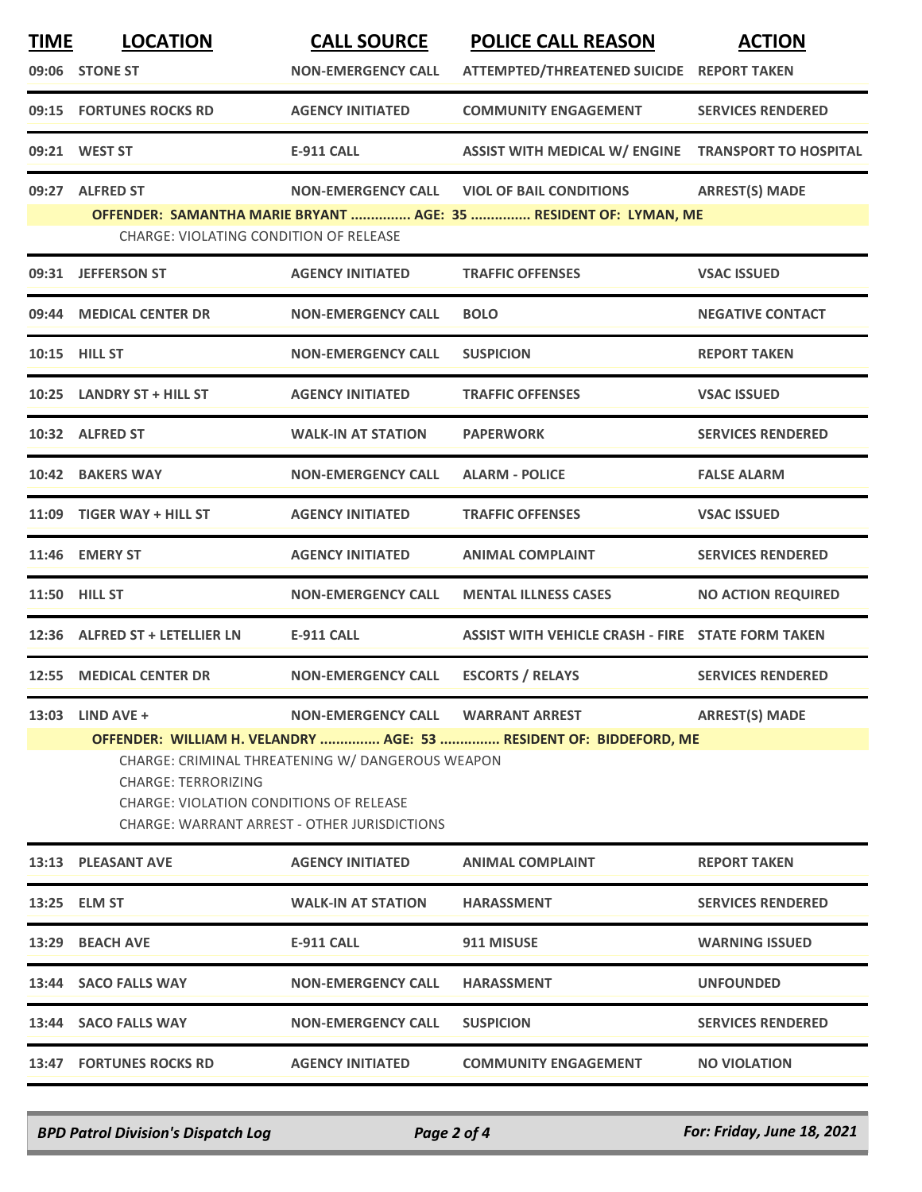| <b>TIME</b> | <b>LOCATION</b>                                                                                                       | <b>CALL SOURCE</b>                               | <b>POLICE CALL REASON</b>                                          | <b>ACTION</b>             |
|-------------|-----------------------------------------------------------------------------------------------------------------------|--------------------------------------------------|--------------------------------------------------------------------|---------------------------|
|             | 09:06 STONE ST                                                                                                        | <b>NON-EMERGENCY CALL</b>                        | ATTEMPTED/THREATENED SUICIDE REPORT TAKEN                          |                           |
|             | 09:15 FORTUNES ROCKS RD                                                                                               | <b>AGENCY INITIATED</b>                          | <b>COMMUNITY ENGAGEMENT</b>                                        | <b>SERVICES RENDERED</b>  |
|             | 09:21 WEST ST                                                                                                         | <b>E-911 CALL</b>                                | ASSIST WITH MEDICAL W/ ENGINE TRANSPORT TO HOSPITAL                |                           |
|             | 09:27 ALFRED ST                                                                                                       | <b>NON-EMERGENCY CALL</b>                        | <b>VIOL OF BAIL CONDITIONS</b>                                     | <b>ARREST(S) MADE</b>     |
|             | CHARGE: VIOLATING CONDITION OF RELEASE                                                                                |                                                  | OFFENDER: SAMANTHA MARIE BRYANT  AGE: 35  RESIDENT OF: LYMAN, ME   |                           |
|             | 09:31 JEFFERSON ST                                                                                                    | <b>AGENCY INITIATED</b>                          | <b>TRAFFIC OFFENSES</b>                                            | <b>VSAC ISSUED</b>        |
| 09:44       | <b>MEDICAL CENTER DR</b>                                                                                              | <b>NON-EMERGENCY CALL</b>                        | <b>BOLO</b>                                                        | <b>NEGATIVE CONTACT</b>   |
|             | 10:15 HILL ST                                                                                                         | <b>NON-EMERGENCY CALL</b>                        | <b>SUSPICION</b>                                                   | <b>REPORT TAKEN</b>       |
|             | 10:25 LANDRY ST + HILL ST                                                                                             | <b>AGENCY INITIATED</b>                          | <b>TRAFFIC OFFENSES</b>                                            | <b>VSAC ISSUED</b>        |
|             | 10:32 ALFRED ST                                                                                                       | <b>WALK-IN AT STATION</b>                        | <b>PAPERWORK</b>                                                   | <b>SERVICES RENDERED</b>  |
|             | 10:42 BAKERS WAY                                                                                                      | <b>NON-EMERGENCY CALL</b>                        | <b>ALARM - POLICE</b>                                              | <b>FALSE ALARM</b>        |
|             | 11:09 TIGER WAY + HILL ST                                                                                             | <b>AGENCY INITIATED</b>                          | <b>TRAFFIC OFFENSES</b>                                            | <b>VSAC ISSUED</b>        |
|             | 11:46 EMERY ST                                                                                                        | <b>AGENCY INITIATED</b>                          | <b>ANIMAL COMPLAINT</b>                                            | <b>SERVICES RENDERED</b>  |
|             | 11:50 HILL ST                                                                                                         | <b>NON-EMERGENCY CALL</b>                        | <b>MENTAL ILLNESS CASES</b>                                        | <b>NO ACTION REQUIRED</b> |
|             | 12:36 ALFRED ST + LETELLIER LN                                                                                        | <b>E-911 CALL</b>                                | ASSIST WITH VEHICLE CRASH - FIRE STATE FORM TAKEN                  |                           |
|             | 12:55 MEDICAL CENTER DR                                                                                               | <b>NON-EMERGENCY CALL</b>                        | <b>ESCORTS / RELAYS</b>                                            | <b>SERVICES RENDERED</b>  |
| 13:03       | LIND AVE +                                                                                                            | NON-EMERGENCY CALL WARRANT ARREST                |                                                                    | <b>ARREST(S) MADE</b>     |
|             | <b>CHARGE: TERRORIZING</b><br>CHARGE: VIOLATION CONDITIONS OF RELEASE<br>CHARGE: WARRANT ARREST - OTHER JURISDICTIONS | CHARGE: CRIMINAL THREATENING W/ DANGEROUS WEAPON | OFFENDER: WILLIAM H. VELANDRY  AGE: 53  RESIDENT OF: BIDDEFORD, ME |                           |
|             | 13:13 PLEASANT AVE                                                                                                    | <b>AGENCY INITIATED</b>                          | <b>ANIMAL COMPLAINT</b>                                            | <b>REPORT TAKEN</b>       |
|             | 13:25 ELM ST                                                                                                          | <b>WALK-IN AT STATION</b>                        | <b>HARASSMENT</b>                                                  | <b>SERVICES RENDERED</b>  |
|             | 13:29 BEACH AVE                                                                                                       | <b>E-911 CALL</b>                                | 911 MISUSE                                                         | <b>WARNING ISSUED</b>     |
|             | 13:44 SACO FALLS WAY                                                                                                  | <b>NON-EMERGENCY CALL</b>                        | <b>HARASSMENT</b>                                                  | <b>UNFOUNDED</b>          |
|             | 13:44 SACO FALLS WAY                                                                                                  | <b>NON-EMERGENCY CALL</b>                        | <b>SUSPICION</b>                                                   | <b>SERVICES RENDERED</b>  |
|             | 13:47 FORTUNES ROCKS RD                                                                                               | <b>AGENCY INITIATED</b>                          | <b>COMMUNITY ENGAGEMENT</b>                                        | <b>NO VIOLATION</b>       |
|             |                                                                                                                       |                                                  |                                                                    |                           |

*BPD Patrol Division's Dispatch Log Page 2 of 4 For: Friday, June 18, 2021*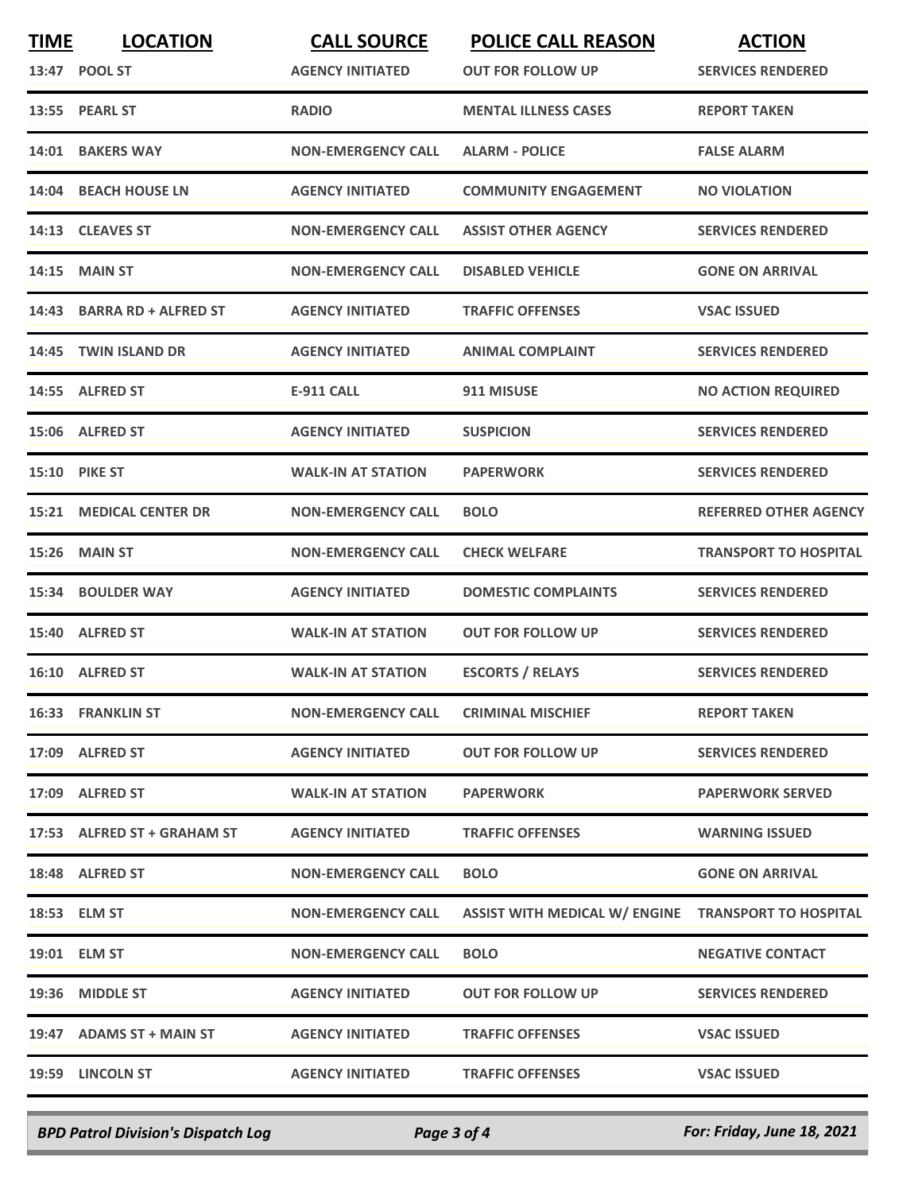| <b>RADIO</b><br>13:55 PEARL ST<br><b>MENTAL ILLNESS CASES</b><br><b>REPORT TAKEN</b><br>14:01 BAKERS WAY<br><b>NON-EMERGENCY CALL</b><br><b>ALARM - POLICE</b><br><b>FALSE ALARM</b><br><b>BEACH HOUSE LN</b><br><b>AGENCY INITIATED</b><br><b>COMMUNITY ENGAGEMENT</b><br>14:04<br><b>NO VIOLATION</b><br>14:13 CLEAVES ST<br><b>NON-EMERGENCY CALL</b><br><b>ASSIST OTHER AGENCY</b><br><b>SERVICES RENDERED</b><br><b>MAIN ST</b><br><b>NON-EMERGENCY CALL</b><br><b>DISABLED VEHICLE</b><br><b>GONE ON ARRIVAL</b><br>14:15<br><b>BARRA RD + ALFRED ST</b><br><b>AGENCY INITIATED</b><br><b>TRAFFIC OFFENSES</b><br><b>VSAC ISSUED</b><br>14:43<br><b>TWIN ISLAND DR</b><br><b>AGENCY INITIATED</b><br>14:45<br><b>ANIMAL COMPLAINT</b><br><b>SERVICES RENDERED</b><br>14:55 ALFRED ST<br>E-911 CALL<br>911 MISUSE<br><b>AGENCY INITIATED</b><br>15:06 ALFRED ST<br><b>SUSPICION</b><br><b>SERVICES RENDERED</b><br><b>15:10 PIKE ST</b><br><b>PAPERWORK</b><br><b>SERVICES RENDERED</b><br><b>WALK-IN AT STATION</b><br><b>15:21 MEDICAL CENTER DR</b><br><b>NON-EMERGENCY CALL</b><br><b>BOLO</b><br><b>MAIN ST</b><br><b>NON-EMERGENCY CALL</b><br><b>CHECK WELFARE</b><br>15:26<br><b>AGENCY INITIATED</b><br>15:34<br><b>BOULDER WAY</b><br><b>DOMESTIC COMPLAINTS</b><br><b>SERVICES RENDERED</b><br><b>ALFRED ST</b><br><b>WALK-IN AT STATION</b><br><b>OUT FOR FOLLOW UP</b><br><b>SERVICES RENDERED</b><br>15:40<br><b>ESCORTS / RELAYS</b><br>16:10 ALFRED ST<br><b>WALK-IN AT STATION</b><br><b>SERVICES RENDERED</b><br>16:33 FRANKLIN ST<br><b>NON-EMERGENCY CALL</b><br><b>CRIMINAL MISCHIEF</b><br><b>REPORT TAKEN</b><br>17:09 ALFRED ST<br><b>AGENCY INITIATED</b><br><b>OUT FOR FOLLOW UP</b><br><b>SERVICES RENDERED</b><br>17:09 ALFRED ST<br><b>WALK-IN AT STATION</b><br><b>PAPERWORK</b><br>17:53 ALFRED ST + GRAHAM ST<br><b>AGENCY INITIATED</b><br><b>TRAFFIC OFFENSES</b><br><b>WARNING ISSUED</b><br>18:48 ALFRED ST<br><b>NON-EMERGENCY CALL</b><br><b>BOLO</b><br><b>GONE ON ARRIVAL</b><br>ASSIST WITH MEDICAL W/ ENGINE TRANSPORT TO HOSPITAL<br>18:53 ELM ST<br><b>NON-EMERGENCY CALL</b><br>19:01 ELM ST<br><b>NON-EMERGENCY CALL</b><br><b>BOLO</b><br><b>NEGATIVE CONTACT</b><br>19:36 MIDDLE ST<br><b>AGENCY INITIATED</b><br><b>OUT FOR FOLLOW UP</b><br><b>SERVICES RENDERED</b><br>19:47 ADAMS ST + MAIN ST<br><b>AGENCY INITIATED</b><br><b>TRAFFIC OFFENSES</b><br><b>VSAC ISSUED</b> | <b>TIME</b> | <b>LOCATION</b><br>13:47 POOL ST | <b>CALL SOURCE</b><br><b>AGENCY INITIATED</b> | <b>POLICE CALL REASON</b><br><b>OUT FOR FOLLOW UP</b> | <b>ACTION</b><br><b>SERVICES RENDERED</b> |
|-------------------------------------------------------------------------------------------------------------------------------------------------------------------------------------------------------------------------------------------------------------------------------------------------------------------------------------------------------------------------------------------------------------------------------------------------------------------------------------------------------------------------------------------------------------------------------------------------------------------------------------------------------------------------------------------------------------------------------------------------------------------------------------------------------------------------------------------------------------------------------------------------------------------------------------------------------------------------------------------------------------------------------------------------------------------------------------------------------------------------------------------------------------------------------------------------------------------------------------------------------------------------------------------------------------------------------------------------------------------------------------------------------------------------------------------------------------------------------------------------------------------------------------------------------------------------------------------------------------------------------------------------------------------------------------------------------------------------------------------------------------------------------------------------------------------------------------------------------------------------------------------------------------------------------------------------------------------------------------------------------------------------------------------------------------------------------------------------------------------------------------------------------------------------------------------------------------------------------------------------------------------------------------------------------------------------------------------------------------------------------------------------------------------------------------|-------------|----------------------------------|-----------------------------------------------|-------------------------------------------------------|-------------------------------------------|
|                                                                                                                                                                                                                                                                                                                                                                                                                                                                                                                                                                                                                                                                                                                                                                                                                                                                                                                                                                                                                                                                                                                                                                                                                                                                                                                                                                                                                                                                                                                                                                                                                                                                                                                                                                                                                                                                                                                                                                                                                                                                                                                                                                                                                                                                                                                                                                                                                                     |             |                                  |                                               |                                                       |                                           |
|                                                                                                                                                                                                                                                                                                                                                                                                                                                                                                                                                                                                                                                                                                                                                                                                                                                                                                                                                                                                                                                                                                                                                                                                                                                                                                                                                                                                                                                                                                                                                                                                                                                                                                                                                                                                                                                                                                                                                                                                                                                                                                                                                                                                                                                                                                                                                                                                                                     |             |                                  |                                               |                                                       |                                           |
|                                                                                                                                                                                                                                                                                                                                                                                                                                                                                                                                                                                                                                                                                                                                                                                                                                                                                                                                                                                                                                                                                                                                                                                                                                                                                                                                                                                                                                                                                                                                                                                                                                                                                                                                                                                                                                                                                                                                                                                                                                                                                                                                                                                                                                                                                                                                                                                                                                     |             |                                  |                                               |                                                       |                                           |
|                                                                                                                                                                                                                                                                                                                                                                                                                                                                                                                                                                                                                                                                                                                                                                                                                                                                                                                                                                                                                                                                                                                                                                                                                                                                                                                                                                                                                                                                                                                                                                                                                                                                                                                                                                                                                                                                                                                                                                                                                                                                                                                                                                                                                                                                                                                                                                                                                                     |             |                                  |                                               |                                                       |                                           |
|                                                                                                                                                                                                                                                                                                                                                                                                                                                                                                                                                                                                                                                                                                                                                                                                                                                                                                                                                                                                                                                                                                                                                                                                                                                                                                                                                                                                                                                                                                                                                                                                                                                                                                                                                                                                                                                                                                                                                                                                                                                                                                                                                                                                                                                                                                                                                                                                                                     |             |                                  |                                               |                                                       |                                           |
|                                                                                                                                                                                                                                                                                                                                                                                                                                                                                                                                                                                                                                                                                                                                                                                                                                                                                                                                                                                                                                                                                                                                                                                                                                                                                                                                                                                                                                                                                                                                                                                                                                                                                                                                                                                                                                                                                                                                                                                                                                                                                                                                                                                                                                                                                                                                                                                                                                     |             |                                  |                                               |                                                       |                                           |
|                                                                                                                                                                                                                                                                                                                                                                                                                                                                                                                                                                                                                                                                                                                                                                                                                                                                                                                                                                                                                                                                                                                                                                                                                                                                                                                                                                                                                                                                                                                                                                                                                                                                                                                                                                                                                                                                                                                                                                                                                                                                                                                                                                                                                                                                                                                                                                                                                                     |             |                                  |                                               |                                                       |                                           |
|                                                                                                                                                                                                                                                                                                                                                                                                                                                                                                                                                                                                                                                                                                                                                                                                                                                                                                                                                                                                                                                                                                                                                                                                                                                                                                                                                                                                                                                                                                                                                                                                                                                                                                                                                                                                                                                                                                                                                                                                                                                                                                                                                                                                                                                                                                                                                                                                                                     |             |                                  |                                               |                                                       | <b>NO ACTION REQUIRED</b>                 |
|                                                                                                                                                                                                                                                                                                                                                                                                                                                                                                                                                                                                                                                                                                                                                                                                                                                                                                                                                                                                                                                                                                                                                                                                                                                                                                                                                                                                                                                                                                                                                                                                                                                                                                                                                                                                                                                                                                                                                                                                                                                                                                                                                                                                                                                                                                                                                                                                                                     |             |                                  |                                               |                                                       |                                           |
|                                                                                                                                                                                                                                                                                                                                                                                                                                                                                                                                                                                                                                                                                                                                                                                                                                                                                                                                                                                                                                                                                                                                                                                                                                                                                                                                                                                                                                                                                                                                                                                                                                                                                                                                                                                                                                                                                                                                                                                                                                                                                                                                                                                                                                                                                                                                                                                                                                     |             |                                  |                                               |                                                       |                                           |
|                                                                                                                                                                                                                                                                                                                                                                                                                                                                                                                                                                                                                                                                                                                                                                                                                                                                                                                                                                                                                                                                                                                                                                                                                                                                                                                                                                                                                                                                                                                                                                                                                                                                                                                                                                                                                                                                                                                                                                                                                                                                                                                                                                                                                                                                                                                                                                                                                                     |             |                                  |                                               |                                                       | <b>REFERRED OTHER AGENCY</b>              |
|                                                                                                                                                                                                                                                                                                                                                                                                                                                                                                                                                                                                                                                                                                                                                                                                                                                                                                                                                                                                                                                                                                                                                                                                                                                                                                                                                                                                                                                                                                                                                                                                                                                                                                                                                                                                                                                                                                                                                                                                                                                                                                                                                                                                                                                                                                                                                                                                                                     |             |                                  |                                               |                                                       | <b>TRANSPORT TO HOSPITAL</b>              |
|                                                                                                                                                                                                                                                                                                                                                                                                                                                                                                                                                                                                                                                                                                                                                                                                                                                                                                                                                                                                                                                                                                                                                                                                                                                                                                                                                                                                                                                                                                                                                                                                                                                                                                                                                                                                                                                                                                                                                                                                                                                                                                                                                                                                                                                                                                                                                                                                                                     |             |                                  |                                               |                                                       |                                           |
|                                                                                                                                                                                                                                                                                                                                                                                                                                                                                                                                                                                                                                                                                                                                                                                                                                                                                                                                                                                                                                                                                                                                                                                                                                                                                                                                                                                                                                                                                                                                                                                                                                                                                                                                                                                                                                                                                                                                                                                                                                                                                                                                                                                                                                                                                                                                                                                                                                     |             |                                  |                                               |                                                       |                                           |
|                                                                                                                                                                                                                                                                                                                                                                                                                                                                                                                                                                                                                                                                                                                                                                                                                                                                                                                                                                                                                                                                                                                                                                                                                                                                                                                                                                                                                                                                                                                                                                                                                                                                                                                                                                                                                                                                                                                                                                                                                                                                                                                                                                                                                                                                                                                                                                                                                                     |             |                                  |                                               |                                                       |                                           |
|                                                                                                                                                                                                                                                                                                                                                                                                                                                                                                                                                                                                                                                                                                                                                                                                                                                                                                                                                                                                                                                                                                                                                                                                                                                                                                                                                                                                                                                                                                                                                                                                                                                                                                                                                                                                                                                                                                                                                                                                                                                                                                                                                                                                                                                                                                                                                                                                                                     |             |                                  |                                               |                                                       |                                           |
|                                                                                                                                                                                                                                                                                                                                                                                                                                                                                                                                                                                                                                                                                                                                                                                                                                                                                                                                                                                                                                                                                                                                                                                                                                                                                                                                                                                                                                                                                                                                                                                                                                                                                                                                                                                                                                                                                                                                                                                                                                                                                                                                                                                                                                                                                                                                                                                                                                     |             |                                  |                                               |                                                       |                                           |
|                                                                                                                                                                                                                                                                                                                                                                                                                                                                                                                                                                                                                                                                                                                                                                                                                                                                                                                                                                                                                                                                                                                                                                                                                                                                                                                                                                                                                                                                                                                                                                                                                                                                                                                                                                                                                                                                                                                                                                                                                                                                                                                                                                                                                                                                                                                                                                                                                                     |             |                                  |                                               |                                                       | <b>PAPERWORK SERVED</b>                   |
|                                                                                                                                                                                                                                                                                                                                                                                                                                                                                                                                                                                                                                                                                                                                                                                                                                                                                                                                                                                                                                                                                                                                                                                                                                                                                                                                                                                                                                                                                                                                                                                                                                                                                                                                                                                                                                                                                                                                                                                                                                                                                                                                                                                                                                                                                                                                                                                                                                     |             |                                  |                                               |                                                       |                                           |
|                                                                                                                                                                                                                                                                                                                                                                                                                                                                                                                                                                                                                                                                                                                                                                                                                                                                                                                                                                                                                                                                                                                                                                                                                                                                                                                                                                                                                                                                                                                                                                                                                                                                                                                                                                                                                                                                                                                                                                                                                                                                                                                                                                                                                                                                                                                                                                                                                                     |             |                                  |                                               |                                                       |                                           |
|                                                                                                                                                                                                                                                                                                                                                                                                                                                                                                                                                                                                                                                                                                                                                                                                                                                                                                                                                                                                                                                                                                                                                                                                                                                                                                                                                                                                                                                                                                                                                                                                                                                                                                                                                                                                                                                                                                                                                                                                                                                                                                                                                                                                                                                                                                                                                                                                                                     |             |                                  |                                               |                                                       |                                           |
|                                                                                                                                                                                                                                                                                                                                                                                                                                                                                                                                                                                                                                                                                                                                                                                                                                                                                                                                                                                                                                                                                                                                                                                                                                                                                                                                                                                                                                                                                                                                                                                                                                                                                                                                                                                                                                                                                                                                                                                                                                                                                                                                                                                                                                                                                                                                                                                                                                     |             |                                  |                                               |                                                       |                                           |
|                                                                                                                                                                                                                                                                                                                                                                                                                                                                                                                                                                                                                                                                                                                                                                                                                                                                                                                                                                                                                                                                                                                                                                                                                                                                                                                                                                                                                                                                                                                                                                                                                                                                                                                                                                                                                                                                                                                                                                                                                                                                                                                                                                                                                                                                                                                                                                                                                                     |             |                                  |                                               |                                                       |                                           |
|                                                                                                                                                                                                                                                                                                                                                                                                                                                                                                                                                                                                                                                                                                                                                                                                                                                                                                                                                                                                                                                                                                                                                                                                                                                                                                                                                                                                                                                                                                                                                                                                                                                                                                                                                                                                                                                                                                                                                                                                                                                                                                                                                                                                                                                                                                                                                                                                                                     |             |                                  |                                               |                                                       |                                           |
|                                                                                                                                                                                                                                                                                                                                                                                                                                                                                                                                                                                                                                                                                                                                                                                                                                                                                                                                                                                                                                                                                                                                                                                                                                                                                                                                                                                                                                                                                                                                                                                                                                                                                                                                                                                                                                                                                                                                                                                                                                                                                                                                                                                                                                                                                                                                                                                                                                     |             | 19:59 LINCOLN ST                 | <b>AGENCY INITIATED</b>                       | <b>TRAFFIC OFFENSES</b>                               | <b>VSAC ISSUED</b>                        |

*BPD Patrol Division's Dispatch Log Page 3 of 4 For: Friday, June 18, 2021*